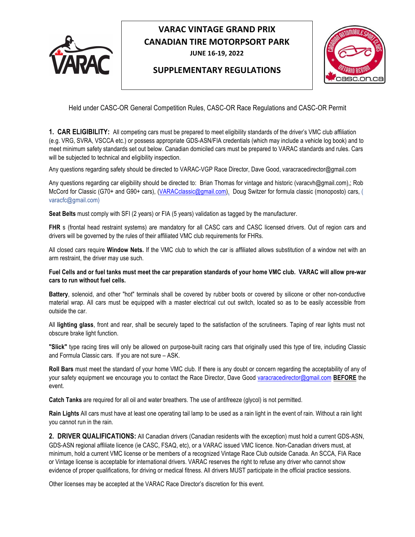

**JUNE 16-19, 2022** 

#### **SUPPLEMENTARY REGULATIONS**



Held under CASC-OR General Competition Rules, CASC-OR Race Regulations and CASC-OR Permit

**1. CAR ELIGIBILITY:** All competing cars must be prepared to meet eligibility standards of the driver's VMC club affiliation (e.g. VRG, SVRA, VSCCA etc.) or possess appropriate GDS-ASN/FIA credentials (which may include a vehicle log book) and to meet minimum safety standards set out below. Canadian domiciled cars must be prepared to VARAC standards and rules. Cars will be subjected to technical and eligibility inspection.

Any questions regarding safety should be directed to VARAC-VGP Race Director, Dave Good, varacracedirector@gmail.com

Any questions regarding car eligibility should be directed to: Brian Thomas for vintage and historic (varacvh@gmail.com),; Rob McCord for Classic (G70+ and G90+ cars), (VARACclassic@gmail.com), Doug Switzer for formula classic (monoposto) cars, ( varacfc@gmail.com)

**Seat Belts** must comply with SFI (2 years) or FIA (5 years) validation as tagged by the manufacturer.

FHR s (frontal head restraint systems) are mandatory for all CASC cars and CASC licensed drivers. Out of region cars and drivers will be governed by the rules of their affiliated VMC club requirements for FHRs.

All closed cars require **Window Nets.** If the VMC club to which the car is affiliated allows substitution of a window net with an arm restraint, the driver may use such.

**Fuel Cells and or fuel tanks must meet the car preparation standards of your home VMC club. VARAC will allow pre-war cars to run without fuel cells.**

**Battery**, solenoid, and other "hot" terminals shall be covered by rubber boots or covered by silicone or other non-conductive material wrap. All cars must be equipped with a master electrical cut out switch, located so as to be easily accessible from outside the car.

All **lighting glass**, front and rear, shall be securely taped to the satisfaction of the scrutineers. Taping of rear lights must not obscure brake light function.

**"Slick"** type racing tires will only be allowed on purpose-built racing cars that originally used this type of tire, including Classic and Formula Classic cars. If you are not sure – ASK.

**Roll Bars** must meet the standard of your home VMC club. If there is any doubt or concern regarding the acceptability of any of your safety equipment we encourage you to contact the Race Director, Dave Good varacracedirector@gmail.com **BEFORE** the event.

**Catch Tanks** are required for all oil and water breathers. The use of antifreeze (glycol) is not permitted.

**Rain Lights** All cars must have at least one operating tail lamp to be used as a rain light in the event of rain. Without a rain light you cannot run in the rain.

**2. DRIVER QUALIFICATIONS:** All Canadian drivers (Canadian residents with the exception) must hold a current GDS-ASN, GDS-ASN regional affiliate licence (ie CASC, FSAQ, etc), or a VARAC issued VMC licence. Non-Canadian drivers must, at minimum, hold a current VMC license or be members of a recognized Vintage Race Club outside Canada. An SCCA, FIA Race or Vintage license is acceptable for international drivers. VARAC reserves the right to refuse any driver who cannot show evidence of proper qualifications, for driving or medical fitness. All drivers MUST participate in the official practice sessions.

Other licenses may be accepted at the VARAC Race Director's discretion for this event.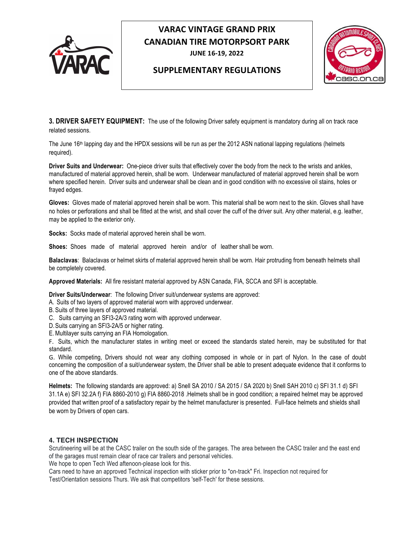

**JUNE 16-19, 2022** 

#### **SUPPLEMENTARY REGULATIONS**



**3. DRIVER SAFETY EQUIPMENT:** The use of the following Driver safety equipment is mandatory during all on track race related sessions.

The June 16<sup>th</sup> lapping day and the HPDX sessions will be run as per the 2012 ASN national lapping regulations (helmets required).

**Driver Suits and Underwear:** One-piece driver suits that effectively cover the body from the neck to the wrists and ankles, manufactured of material approved herein, shall be worn. Underwear manufactured of material approved herein shall be worn where specified herein. Driver suits and underwear shall be clean and in good condition with no excessive oil stains, holes or frayed edges.

**Gloves:** Gloves made of material approved herein shall be worn. This material shall be worn next to the skin. Gloves shall have no holes or perforations and shall be fitted at the wrist, and shall cover the cuff of the driver suit. Any other material, e.g. leather, may be applied to the exterior only.

**Socks:** Socks made of material approved herein shall be worn.

**Shoes:** Shoes made of material approved herein and/or of leather shall be worn.

**Balaclavas**: Balaclavas or helmet skirts of material approved herein shall be worn. Hair protruding from beneath helmets shall be completely covered.

**Approved Materials:** All fire resistant material approved by ASN Canada, FIA, SCCA and SFI is acceptable.

**Driver Suits/Underwear**: The following Driver suit/underwear systems are approved:

- A. Suits of two layers of approved material worn with approved underwear.
- B. Suits of three layers of approved material.
- C. Suits carrying an SFI3-2A/3 rating worn with approved underwear.
- D.Suits carrying an SFI3-2A/5 or higher rating.
- E.Multilayer suits carrying an FIA Homologation.

F. Suits, which the manufacturer states in writing meet or exceed the standards stated herein, may be substituted for that standard.

G. While competing, Drivers should not wear any clothing composed in whole or in part of Nylon. In the case of doubt concerning the composition of a suit/underwear system, the Driver shall be able to present adequate evidence that it conforms to one of the above standards.

**Helmets:** The following standards are approved: a) Snell SA 2010 / SA 2015 / SA 2020 b) Snell SAH 2010 c) SFI 31.1 d) SFI 31.1A e) SFI 32.2A f) FIA 8860-2010 g) FIA 8860-2018 .Helmets shall be in good condition; a repaired helmet may be approved provided that written proof of a satisfactory repair by the helmet manufacturer is presented. Full-face helmets and shields shall be worn by Drivers of open cars.

#### **4. TECH INSPECTION**

Scrutineering will be at the CASC trailer on the south side of the garages. The area between the CASC trailer and the east end of the garages must remain clear of race car trailers and personal vehicles.

We hope to open Tech Wed aftenoon-please look for this.

Cars need to have an approved Technical inspection with sticker prior to "on-track" Fri. Inspection not required for Test/Orientation sessions Thurs. We ask that competitors 'self-Tech' for these sessions.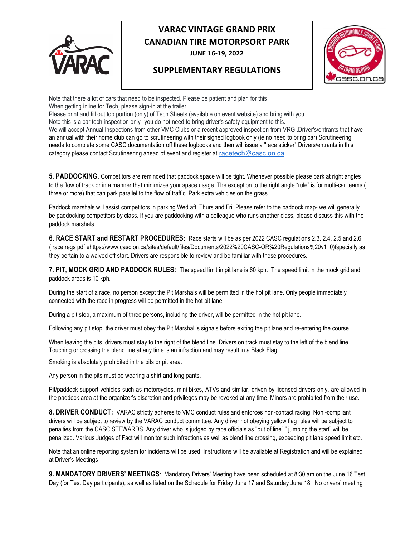

**JUNE 16-19, 2022** 

### **SUPPLEMENTARY REGULATIONS**



Note that there a lot of cars that need to be inspected. Please be patient and plan for this When getting inline for Tech, please sign-in at the trailer.

Please print and fill out top portion (only) of Tech Sheets (available on event website) and bring with you.

Note this is a car tech inspection only--you do not need to bring driver's safety equipment to this.

We will accept Annual Inspections from other VMC Clubs or a recent approved inspection from VRG .Driver's/entrants that have an annual with their home club can go to scrutineering with their signed logbook only (ie no need to bring car) Scrutineering needs to complete some CASC documentation off these logbooks and then will issue a "race sticker" Drivers/entrants in this category please contact Scrutineering ahead of event and register at racetech@casc.on.ca.

**5. PADDOCKING**. Competitors are reminded that paddock space will be tight. Whenever possible please park at right angles to the flow of track or in a manner that minimizes your space usage. The exception to the right angle "rule" is for multi-car teams ( three or more) that can park parallel to the flow of traffic. Park extra vehicles on the grass.

Paddock marshals will assist competitors in parking Wed aft, Thurs and Fri. Please refer to the paddock map- we will generally be paddocking competitors by class. If you are paddocking with a colleague who runs another class, please discuss this with the paddock marshals.

**6. RACE START and RESTART PROCEDURES:** Race starts will be as per 2022 CASC regulations 2.3. 2.4, 2.5 and 2.6, ( race regs pdf ehttps://www.casc.on.ca/sites/default/files/Documents/2022%20CASC-OR%20Regulations%20v1\_0)fspecially as they pertain to a waived off start. Drivers are responsible to review and be familiar with these procedures.

**7. PIT, MOCK GRID AND PADDOCK RULES:** The speed limit in pit lane is 60 kph. The speed limit in the mock grid and paddock areas is 10 kph.

During the start of a race, no person except the Pit Marshals will be permitted in the hot pit lane. Only people immediately connected with the race in progress will be permitted in the hot pit lane.

During a pit stop, a maximum of three persons, including the driver, will be permitted in the hot pit lane.

Following any pit stop, the driver must obey the Pit Marshall's signals before exiting the pit lane and re-entering the course.

When leaving the pits, drivers must stay to the right of the blend line. Drivers on track must stay to the left of the blend line. Touching or crossing the blend line at any time is an infraction and may result in a Black Flag.

Smoking is absolutely prohibited in the pits or pit area.

Any person in the pits must be wearing a shirt and long pants.

Pit/paddock support vehicles such as motorcycles, mini-bikes, ATVs and similar, driven by licensed drivers only, are allowed in the paddock area at the organizer's discretion and privileges may be revoked at any time. Minors are prohibited from their use.

**8. DRIVER CONDUCT:** VARAC strictly adheres to VMC conduct rules and enforces non-contact racing. Non -compliant drivers will be subject to review by the VARAC conduct committee. Any driver not obeying yellow flag rules will be subject to penalties from the CASC STEWARDS. Any driver who is judged by race officials as "out of line"," jumping the start" will be penalized. Various Judges of Fact will monitor such infractions as well as blend line crossing, exceeding pit lane speed limit etc.

Note that an online reporting system for incidents will be used. Instructions will be available at Registration and will be explained at Driver's Meetings

**9. MANDATORY DRIVERS' MEETINGS**: Mandatory Drivers' Meeting have been scheduled at 8:30 am on the June 16 Test Day (for Test Day participants), as well as listed on the Schedule for Friday June 17 and Saturday June 18. No drivers' meeting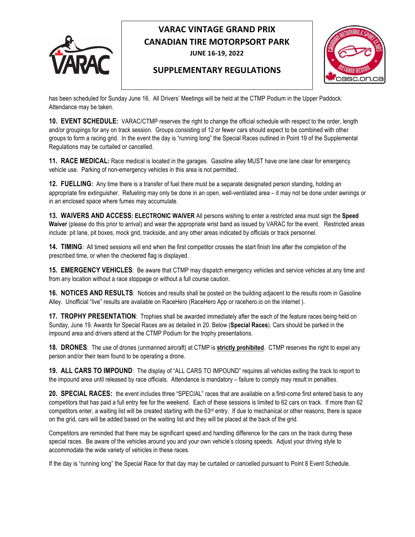

**JUNE 16-19, 2022** 

#### **SUPPLEMENTARY REGULATIONS**



has been scheduled for Sunday June 16. All Drivers' Meetings will be held at the CTMP Podium in the Upper Paddock. Attendance may be taken.

**10. EVENT SCHEDULE:** VARAC/CTMP reserves the right to change the official schedule with respect to the order, length and/or groupings for any on track session. Groups consisting of 12 or fewer cars should expect to be combined with other groups to form a racing grid. In the event the day is "running long" the Special Races outlined in Point 19 of the Supplemental Regulations may be curtailed or cancelled.

**11. RACE MEDICAL:** Race medical is located in the garages. Gasoline alley MUST have one lane clear for emergency vehicle use. Parking of non-emergency vehicles in this area is not permitted.

**12. FUELLING:** Any time there is a transfer of fuel there must be a separate designated person standing, holding an appropriate fire extinguisher. Refueling may only be done in an open, well-ventilated area – it may not be done under awnings or in an enclosed space where fumes may accumulate.

**13. WAIVERS AND ACCESS: ELECTRONIC WAIVER** All persons wishing to enter a restricted area must sign the **Speed Waiver** (please do this prior to arrival) and wear the appropriate wrist band as issued by VARAC for the event. Restricted areas include: pit lane, pit boxes, mock grid, trackside, and any other areas indicated by officials or track personnel.

**14. TIMING:** All timed sessions will end when the first competitor crosses the start finish line after the completion of the prescribed time, or when the checkered flag is displayed.

**15. EMERGENCY VEHICLES**: Be aware that CTMP may dispatch emergency vehicles and service vehicles at any time and from any location without a race stoppage or without a full course caution.

**16. NOTICES AND RESULTS**: Notices and results shall be posted on the building adjacent to the results room in Gasoline Alley. Unofficial "live" results are available on RaceHero (RaceHero App or racehero.io on the internet ).

**17. TROPHY PRESENTATION**: Trophies shall be awarded immediately after the each of the feature races being held on Sunday, June 19. Awards for Special Races are as detailed in 20. Below (**Special Races**). Cars should be parked in the impound area and drivers attend at the CTMP Podium for the trophy presentations.

**18. DRONES**: The use of drones (unmanned aircraft) at CTMP is **strictly prohibited**. CTMP reserves the right to expel any person and/or their team found to be operating a drone.

**19. ALL CARS TO IMPOUND**: The display of "ALL CARS TO IMPOUND" requires all vehicles exiting the track to report to the impound area until released by race officials. Attendance is mandatory – failure to comply may result in penalties.

**20. SPECIAL RACES:** the event includes three "SPECIAL" races that are available on a first-come first entered basis to any competitors that has paid a full entry fee for the weekend. Each of these sessions is limited to 62 cars on track. If more than 62 competitors enter, a waiting list will be created starting with the 63rd entry. If due to mechanical or other reasons, there is space on the grid, cars will be added based on the waiting list and they will be placed at the back of the grid.

Competitors are reminded that there may be significant speed and handling difference for the cars on the track during these special races. Be aware of the vehicles around you and your own vehicle's closing speeds. Adjust your driving style to accommodate the wide variety of vehicles in these races.

If the day is "running long" the Special Race for that day may be curtailed or cancelled pursuant to Point 8 Event Schedule.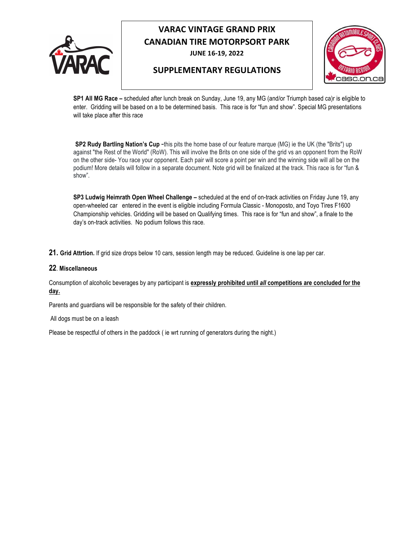

**JUNE 16-19, 2022** 

#### **SUPPLEMENTARY REGULATIONS**



**SP1 All MG Race –** scheduled after lunch break on Sunday, June 19, any MG (and/or Triumph based ca)r is eligible to enter. Gridding will be based on a to be determined basis. This race is for "fun and show". Special MG presentations will take place after this race

**SP2 Rudy Bartling Nation's Cup** -this pits the home base of our feature marque (MG) ie the UK (the "Brits") up against "the Rest of the World" (RoW). This will involve the Brits on one side of the grid vs an opponent from the RoW on the other side- You race your opponent. Each pair will score a point per win and the winning side will all be on the podium! More details will follow in a separate document. Note grid will be finalized at the track. This race is for "fun & show".

**SP3 Ludwig Heimrath Open Wheel Challenge –** scheduled at the end of on-track activities on Friday June 19, any open-wheeled car entered in the event is eligible including Formula Classic - Monoposto, and Toyo Tires F1600 Championship vehicles. Gridding will be based on Qualifying times. This race is for "fun and show", a finale to the day's on-track activities. No podium follows this race.

**21. Grid Attrtion.** If grid size drops below 10 cars, session length may be reduced. Guideline is one lap per car.

#### **22**. **Miscellaneous**

Consumption of alcoholic beverages by any participant is **expressly prohibited until** *all* **competitions are concluded for the day.**

Parents and guardians will be responsible for the safety of their children.

All dogs must be on a leash

Please be respectful of others in the paddock (ie wrt running of generators during the night.)